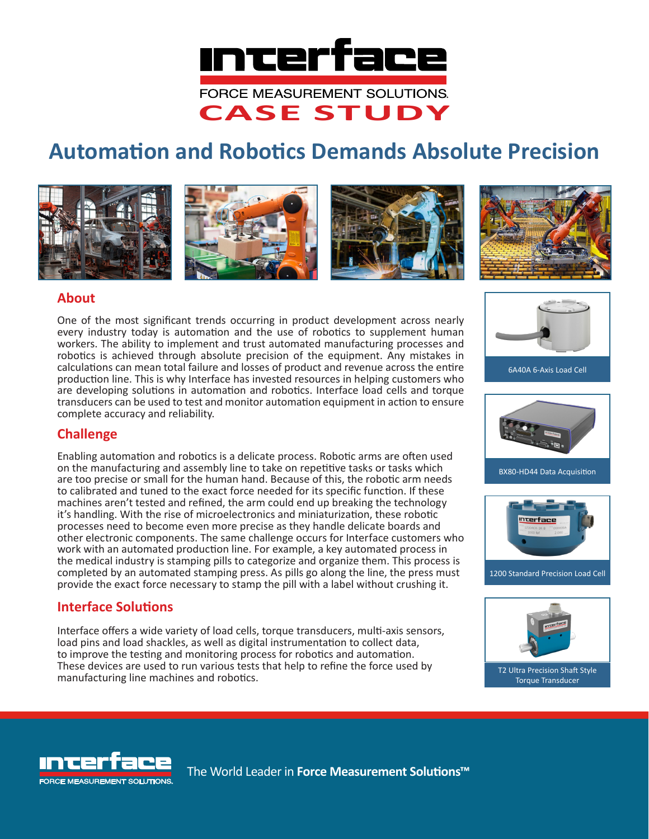

# **Automation and Robotics Demands Absolute Precision**









### **About**

One of the most significant trends occurring in product development across nearly every industry today is automation and the use of robotics to supplement human workers. The ability to implement and trust automated manufacturing processes and robotics is achieved through absolute precision of the equipment. Any mistakes in calculations can mean total failure and losses of product and revenue across the entire production line. This is why Interface has invested resources in helping customers who are developing solutions in automation and robotics. Interface load cells and torque transducers can be used to test and monitor automation equipment in action to ensure complete accuracy and reliability.



## **Challenge**

Enabling automation and robotics is a delicate process. Robotic arms are often used on the manufacturing and assembly line to take on repetitive tasks or tasks which are too precise or small for the human hand. Because of this, the robotic arm needs to calibrated and tuned to the exact force needed for its specific function. If these machines aren't tested and refined, the arm could end up breaking the technology it's handling. With the rise of microelectronics and miniaturization, these robotic processes need to become even more precise as they handle delicate boards and other electronic components. The same challenge occurs for Interface customers who work with an automated production line. For example, a key automated process in the medical industry is stamping pills to categorize and organize them. This process is completed by an automated stamping press. As pills go along the line, the press must provide the exact force necessary to stamp the pill with a label without crushing it.

### **Interface Solutions**

Interface offers a wide variety of load cells, torque transducers, multi-axis sensors, load pins and load shackles, as well as digital instrumentation to collect data, to improve the testing and monitoring process for robotics and automation. These devices are used to run various tests that help to refine the force used by manufacturing line machines and robotics.





1200 Standard Precision Load Cell